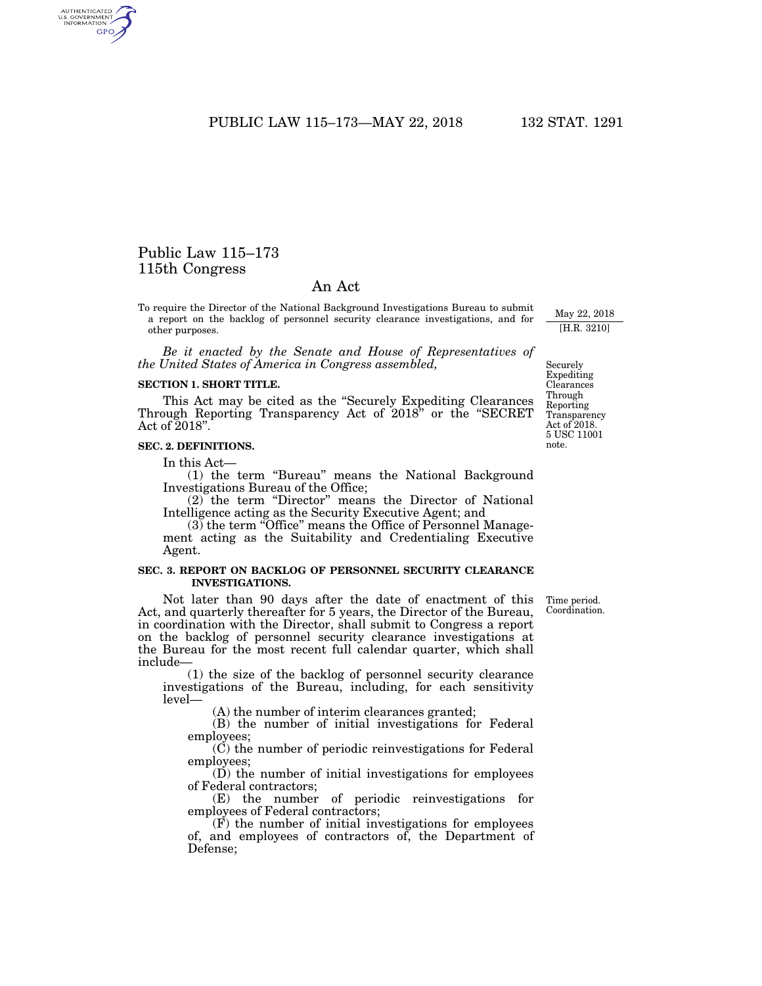PUBLIC LAW 115-173-MAY 22, 2018 132 STAT. 1291

# Public Law 115–173 115th Congress

AUTHENTICATED<br>U.S. GOVERNMENT<br>INFORMATION **GPO** 

# An Act

To require the Director of the National Background Investigations Bureau to submit a report on the backlog of personnel security clearance investigations, and for other purposes.

*Be it enacted by the Senate and House of Representatives of the United States of America in Congress assembled,* 

### **SECTION 1. SHORT TITLE.**

This Act may be cited as the ''Securely Expediting Clearances Through Reporting Transparency Act of 2018'' or the ''SECRET Act of 2018''.

## **SEC. 2. DEFINITIONS.**

In this Act—

(1) the term ''Bureau'' means the National Background Investigations Bureau of the Office;

(2) the term "Director" means the Director of National Intelligence acting as the Security Executive Agent; and

 $(3)$  the term "Office" means the Office of Personnel Management acting as the Suitability and Credentialing Executive Agent.

## **SEC. 3. REPORT ON BACKLOG OF PERSONNEL SECURITY CLEARANCE INVESTIGATIONS.**

Not later than 90 days after the date of enactment of this Act, and quarterly thereafter for 5 years, the Director of the Bureau, in coordination with the Director, shall submit to Congress a report on the backlog of personnel security clearance investigations at the Bureau for the most recent full calendar quarter, which shall include—

(1) the size of the backlog of personnel security clearance investigations of the Bureau, including, for each sensitivity level—

(A) the number of interim clearances granted;

(B) the number of initial investigations for Federal employees;

(C) the number of periodic reinvestigations for Federal employees;

(D) the number of initial investigations for employees of Federal contractors;

(E) the number of periodic reinvestigations for employees of Federal contractors;

(F) the number of initial investigations for employees of, and employees of contractors of, the Department of Defense;

Time period. Coordination.

May 22, 2018 [H.R. 3210]

Securely Expediting Clearances Through Reporting **Transparency** Act of 2018. 5 USC 11001 note.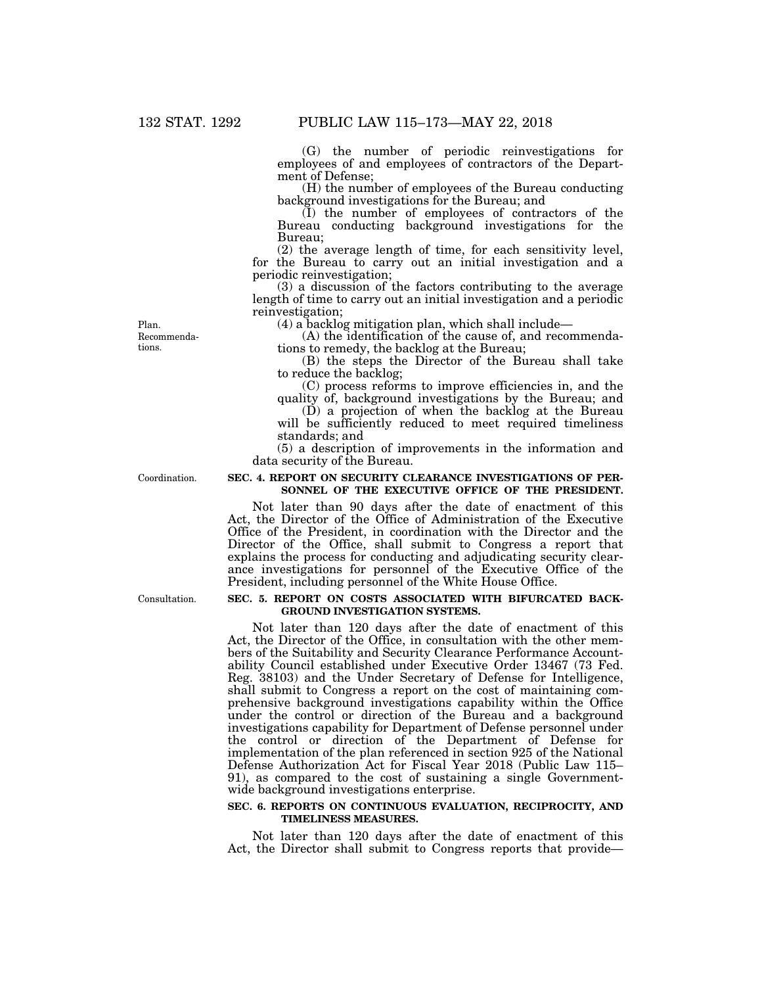(G) the number of periodic reinvestigations for employees of and employees of contractors of the Department of Defense;

(H) the number of employees of the Bureau conducting background investigations for the Bureau; and

(I) the number of employees of contractors of the Bureau conducting background investigations for the Bureau;

(2) the average length of time, for each sensitivity level, for the Bureau to carry out an initial investigation and a periodic reinvestigation;

(3) a discussion of the factors contributing to the average length of time to carry out an initial investigation and a periodic reinvestigation;

(4) a backlog mitigation plan, which shall include—

(A) the identification of the cause of, and recommendations to remedy, the backlog at the Bureau;

(B) the steps the Director of the Bureau shall take to reduce the backlog;

(C) process reforms to improve efficiencies in, and the quality of, background investigations by the Bureau; and

(D) a projection of when the backlog at the Bureau will be sufficiently reduced to meet required timeliness standards; and

(5) a description of improvements in the information and data security of the Bureau.

Coordination.

Recommendations. Plan.

# **SEC. 4. REPORT ON SECURITY CLEARANCE INVESTIGATIONS OF PER-SONNEL OF THE EXECUTIVE OFFICE OF THE PRESIDENT.**

Not later than 90 days after the date of enactment of this Act, the Director of the Office of Administration of the Executive Office of the President, in coordination with the Director and the Director of the Office, shall submit to Congress a report that explains the process for conducting and adjudicating security clearance investigations for personnel of the Executive Office of the President, including personnel of the White House Office.

#### **SEC. 5. REPORT ON COSTS ASSOCIATED WITH BIFURCATED BACK-GROUND INVESTIGATION SYSTEMS.**

Not later than 120 days after the date of enactment of this Act, the Director of the Office, in consultation with the other members of the Suitability and Security Clearance Performance Accountability Council established under Executive Order 13467 (73 Fed. Reg. 38103) and the Under Secretary of Defense for Intelligence, shall submit to Congress a report on the cost of maintaining comprehensive background investigations capability within the Office under the control or direction of the Bureau and a background investigations capability for Department of Defense personnel under the control or direction of the Department of Defense for implementation of the plan referenced in section 925 of the National Defense Authorization Act for Fiscal Year 2018 (Public Law 115– 91), as compared to the cost of sustaining a single Governmentwide background investigations enterprise.

### **SEC. 6. REPORTS ON CONTINUOUS EVALUATION, RECIPROCITY, AND TIMELINESS MEASURES.**

Not later than 120 days after the date of enactment of this Act, the Director shall submit to Congress reports that provide—

Consultation.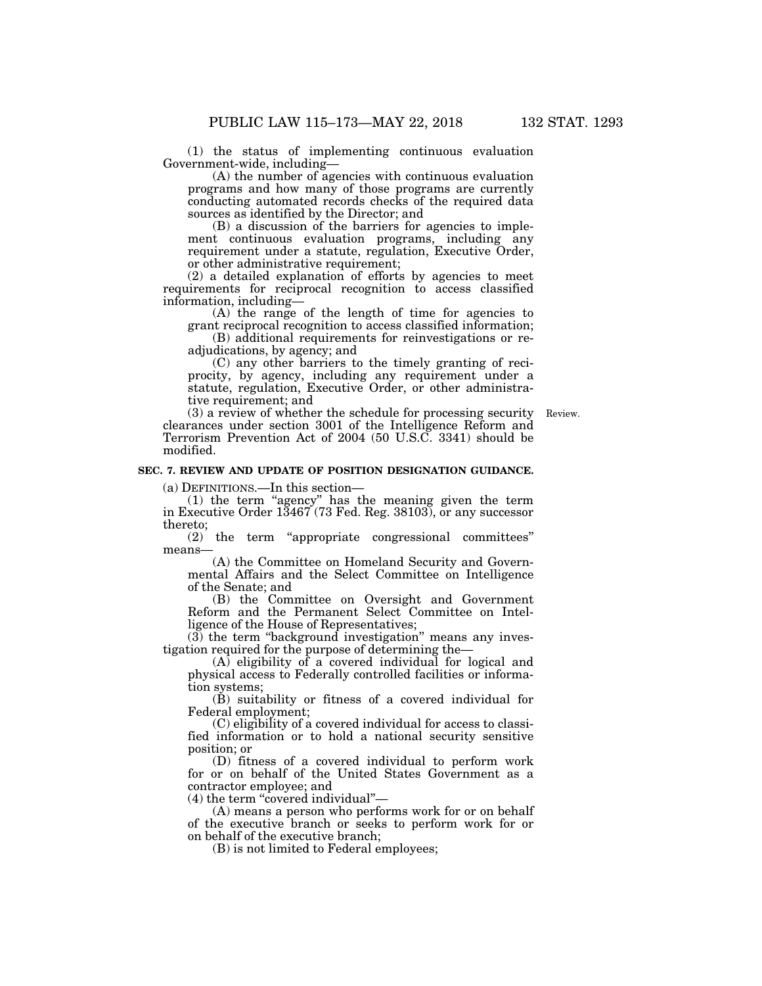(1) the status of implementing continuous evaluation Government-wide, including—

(A) the number of agencies with continuous evaluation programs and how many of those programs are currently conducting automated records checks of the required data sources as identified by the Director; and

(B) a discussion of the barriers for agencies to implement continuous evaluation programs, including any requirement under a statute, regulation, Executive Order, or other administrative requirement;

(2) a detailed explanation of efforts by agencies to meet requirements for reciprocal recognition to access classified information, including—

(A) the range of the length of time for agencies to grant reciprocal recognition to access classified information;

(B) additional requirements for reinvestigations or readjudications, by agency; and

(C) any other barriers to the timely granting of reciprocity, by agency, including any requirement under a statute, regulation, Executive Order, or other administrative requirement; and

(3) a review of whether the schedule for processing security Review. clearances under section 3001 of the Intelligence Reform and Terrorism Prevention Act of 2004 (50 U.S.C. 3341) should be modified.

# **SEC. 7. REVIEW AND UPDATE OF POSITION DESIGNATION GUIDANCE.**

(a) DEFINITIONS.—In this section—

(1) the term ''agency'' has the meaning given the term in Executive Order 13467 (73 Fed. Reg. 38103), or any successor thereto;

(2) the term ''appropriate congressional committees'' means—

(A) the Committee on Homeland Security and Governmental Affairs and the Select Committee on Intelligence of the Senate; and

(B) the Committee on Oversight and Government Reform and the Permanent Select Committee on Intelligence of the House of Representatives;

(3) the term ''background investigation'' means any investigation required for the purpose of determining the—

 $(A)$  eligibility of a covered individual for logical and physical access to Federally controlled facilities or information systems;

(B) suitability or fitness of a covered individual for Federal employment;

(C) eligibility of a covered individual for access to classified information or to hold a national security sensitive position; or

(D) fitness of a covered individual to perform work for or on behalf of the United States Government as a contractor employee; and

(4) the term ''covered individual''—

(A) means a person who performs work for or on behalf of the executive branch or seeks to perform work for or on behalf of the executive branch;

(B) is not limited to Federal employees;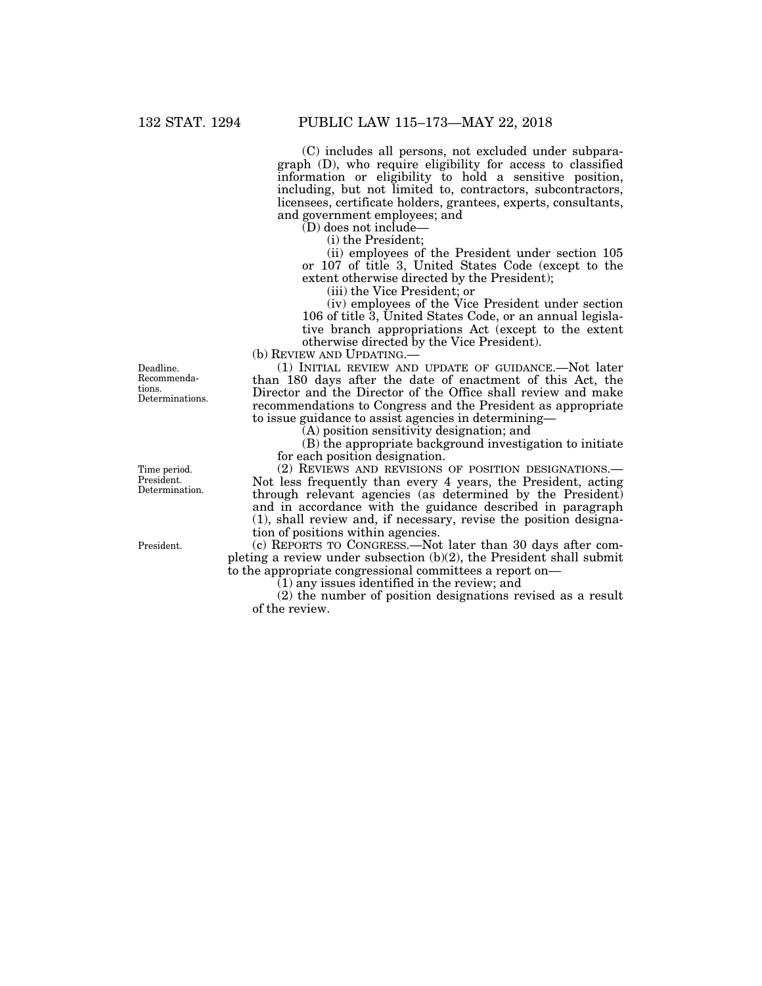(C) includes all persons, not excluded under subparagraph (D), who require eligibility for access to classified information or eligibility to hold a sensitive position, including, but not limited to, contractors, subcontractors, licensees, certificate holders, grantees, experts, consultants, and government employees; and

 $(D)$  does not include—

(i) the President;

(ii) employees of the President under section 105 or 107 of title 3, United States Code (except to the extent otherwise directed by the President);

(iii) the Vice President; or

(iv) employees of the Vice President under section 106 of title 3, United States Code, or an annual legislative branch appropriations Act (except to the extent otherwise directed by the Vice President).

(b) REVIEW AND UPDATING.—

(1) INITIAL REVIEW AND UPDATE OF GUIDANCE.—Not later than 180 days after the date of enactment of this Act, the Director and the Director of the Office shall review and make recommendations to Congress and the President as appropriate to issue guidance to assist agencies in determining—

(A) position sensitivity designation; and

(B) the appropriate background investigation to initiate for each position designation.

(2) REVIEWS AND REVISIONS OF POSITION DESIGNATIONS.— Not less frequently than every 4 years, the President, acting through relevant agencies (as determined by the President) and in accordance with the guidance described in paragraph (1), shall review and, if necessary, revise the position designation of positions within agencies.

(c) REPORTS TO CONGRESS.—Not later than 30 days after completing a review under subsection (b)(2), the President shall submit to the appropriate congressional committees a report on—

 $(1)$  any issues identified in the review; and

(2) the number of position designations revised as a result of the review.

Deadline. Recommendations. Determinations.

Time period. President. Determination.

President.